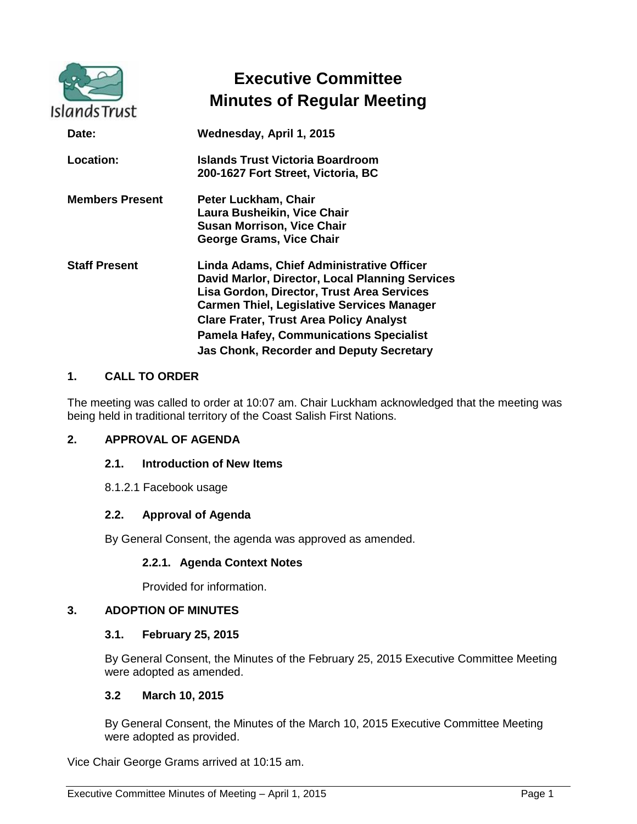| <b>Islands Trust</b>   | <b>Executive Committee</b><br><b>Minutes of Regular Meeting</b>                                                                                                                                                                                                                                                                                        |
|------------------------|--------------------------------------------------------------------------------------------------------------------------------------------------------------------------------------------------------------------------------------------------------------------------------------------------------------------------------------------------------|
| Date:                  | Wednesday, April 1, 2015                                                                                                                                                                                                                                                                                                                               |
| Location:              | Islands Trust Victoria Boardroom<br>200-1627 Fort Street, Victoria, BC                                                                                                                                                                                                                                                                                 |
| <b>Members Present</b> | Peter Luckham, Chair<br>Laura Busheikin, Vice Chair<br><b>Susan Morrison, Vice Chair</b><br>George Grams, Vice Chair                                                                                                                                                                                                                                   |
| <b>Staff Present</b>   | Linda Adams, Chief Administrative Officer<br>David Marlor, Director, Local Planning Services<br>Lisa Gordon, Director, Trust Area Services<br><b>Carmen Thiel, Legislative Services Manager</b><br><b>Clare Frater, Trust Area Policy Analyst</b><br><b>Pamela Hafey, Communications Specialist</b><br><b>Jas Chonk, Recorder and Deputy Secretary</b> |

### **1. CALL TO ORDER**

The meeting was called to order at 10:07 am. Chair Luckham acknowledged that the meeting was being held in traditional territory of the Coast Salish First Nations.

### **2. APPROVAL OF AGENDA**

#### **2.1. Introduction of New Items**

8.1.2.1 Facebook usage

### **2.2. Approval of Agenda**

By General Consent, the agenda was approved as amended.

### **2.2.1. Agenda Context Notes**

Provided for information.

### **3. ADOPTION OF MINUTES**

#### **3.1. February 25, 2015**

By General Consent, the Minutes of the February 25, 2015 Executive Committee Meeting were adopted as amended.

#### **3.2 March 10, 2015**

By General Consent, the Minutes of the March 10, 2015 Executive Committee Meeting were adopted as provided.

Vice Chair George Grams arrived at 10:15 am.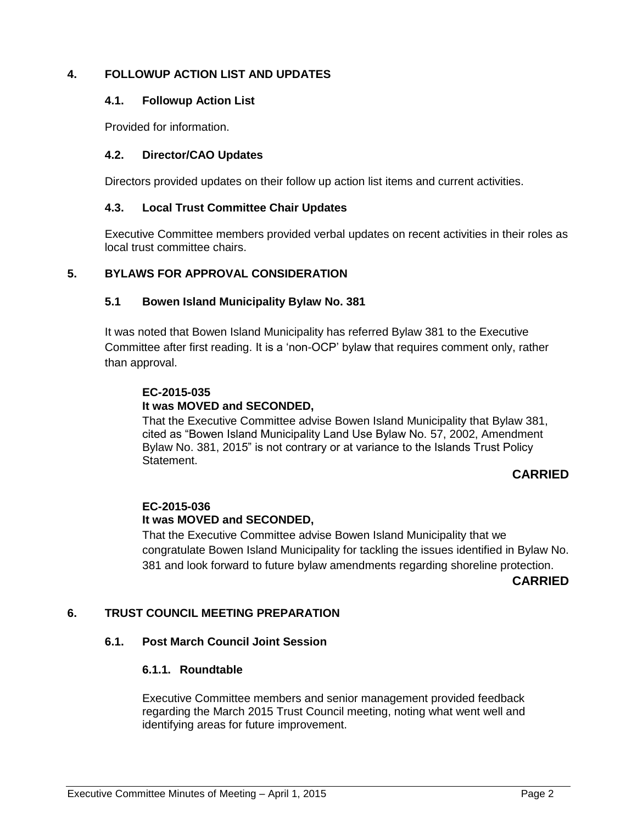## **4. FOLLOWUP ACTION LIST AND UPDATES**

#### **4.1. Followup Action List**

Provided for information.

#### **4.2. Director/CAO Updates**

Directors provided updates on their follow up action list items and current activities.

#### **4.3. Local Trust Committee Chair Updates**

Executive Committee members provided verbal updates on recent activities in their roles as local trust committee chairs.

### **5. BYLAWS FOR APPROVAL CONSIDERATION**

#### **5.1 Bowen Island Municipality Bylaw No. 381**

It was noted that Bowen Island Municipality has referred Bylaw 381 to the Executive Committee after first reading. It is a 'non-OCP' bylaw that requires comment only, rather than approval.

## **EC-2015-035**

### **It was MOVED and SECONDED,**

That the Executive Committee advise Bowen Island Municipality that Bylaw 381, cited as "Bowen Island Municipality Land Use Bylaw No. 57, 2002, Amendment Bylaw No. 381, 2015" is not contrary or at variance to the Islands Trust Policy **Statement** 

### **CARRIED**

### **EC-2015-036**

### **It was MOVED and SECONDED,**

That the Executive Committee advise Bowen Island Municipality that we congratulate Bowen Island Municipality for tackling the issues identified in Bylaw No. 381 and look forward to future bylaw amendments regarding shoreline protection.

**CARRIED**

### **6. TRUST COUNCIL MEETING PREPARATION**

### **6.1. Post March Council Joint Session**

### **6.1.1. Roundtable**

Executive Committee members and senior management provided feedback regarding the March 2015 Trust Council meeting, noting what went well and identifying areas for future improvement.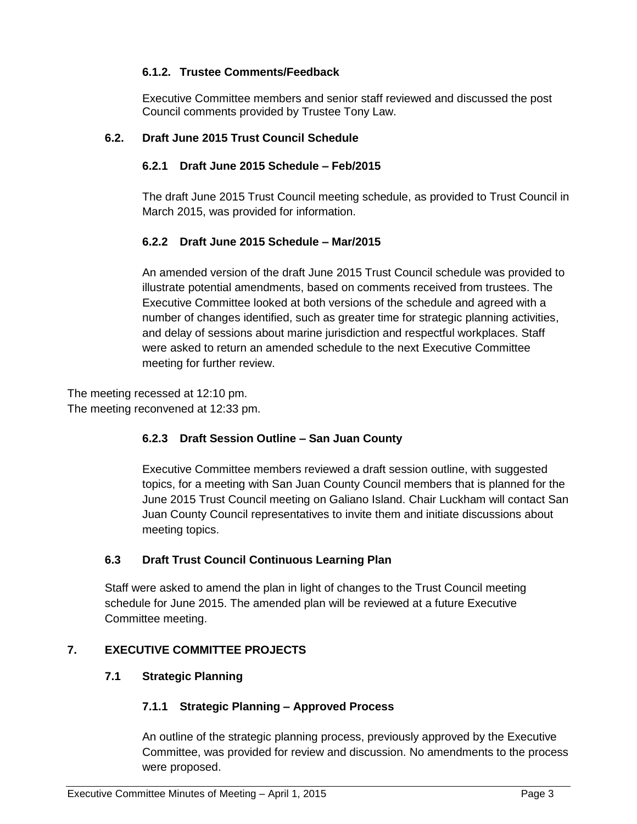# **6.1.2. Trustee Comments/Feedback**

Executive Committee members and senior staff reviewed and discussed the post Council comments provided by Trustee Tony Law.

# **6.2. Draft June 2015 Trust Council Schedule**

## **6.2.1 Draft June 2015 Schedule – Feb/2015**

The draft June 2015 Trust Council meeting schedule, as provided to Trust Council in March 2015, was provided for information.

## **6.2.2 Draft June 2015 Schedule – Mar/2015**

An amended version of the draft June 2015 Trust Council schedule was provided to illustrate potential amendments, based on comments received from trustees. The Executive Committee looked at both versions of the schedule and agreed with a number of changes identified, such as greater time for strategic planning activities, and delay of sessions about marine jurisdiction and respectful workplaces. Staff were asked to return an amended schedule to the next Executive Committee meeting for further review.

The meeting recessed at 12:10 pm. The meeting reconvened at 12:33 pm.

## **6.2.3 Draft Session Outline – San Juan County**

Executive Committee members reviewed a draft session outline, with suggested topics, for a meeting with San Juan County Council members that is planned for the June 2015 Trust Council meeting on Galiano Island. Chair Luckham will contact San Juan County Council representatives to invite them and initiate discussions about meeting topics.

## **6.3 Draft Trust Council Continuous Learning Plan**

Staff were asked to amend the plan in light of changes to the Trust Council meeting schedule for June 2015. The amended plan will be reviewed at a future Executive Committee meeting.

## **7. EXECUTIVE COMMITTEE PROJECTS**

## **7.1 Strategic Planning**

## **7.1.1 Strategic Planning – Approved Process**

An outline of the strategic planning process, previously approved by the Executive Committee, was provided for review and discussion. No amendments to the process were proposed.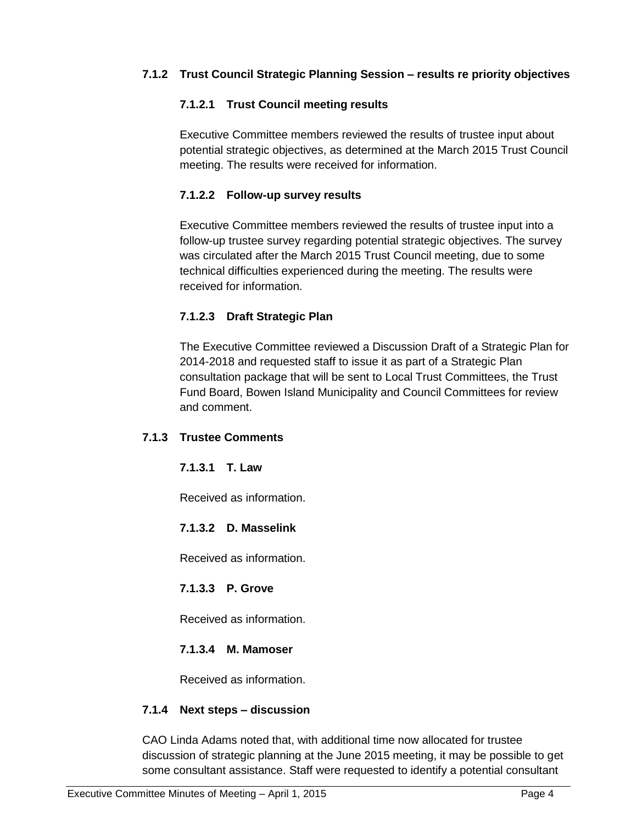# **7.1.2 Trust Council Strategic Planning Session – results re priority objectives**

## **7.1.2.1 Trust Council meeting results**

Executive Committee members reviewed the results of trustee input about potential strategic objectives, as determined at the March 2015 Trust Council meeting. The results were received for information.

## **7.1.2.2 Follow-up survey results**

Executive Committee members reviewed the results of trustee input into a follow-up trustee survey regarding potential strategic objectives. The survey was circulated after the March 2015 Trust Council meeting, due to some technical difficulties experienced during the meeting. The results were received for information.

## **7.1.2.3 Draft Strategic Plan**

The Executive Committee reviewed a Discussion Draft of a Strategic Plan for 2014-2018 and requested staff to issue it as part of a Strategic Plan consultation package that will be sent to Local Trust Committees, the Trust Fund Board, Bowen Island Municipality and Council Committees for review and comment.

## **7.1.3 Trustee Comments**

### **7.1.3.1 T. Law**

Received as information.

## **7.1.3.2 D. Masselink**

Received as information.

## **7.1.3.3 P. Grove**

Received as information.

## **7.1.3.4 M. Mamoser**

Received as information.

### **7.1.4 Next steps – discussion**

CAO Linda Adams noted that, with additional time now allocated for trustee discussion of strategic planning at the June 2015 meeting, it may be possible to get some consultant assistance. Staff were requested to identify a potential consultant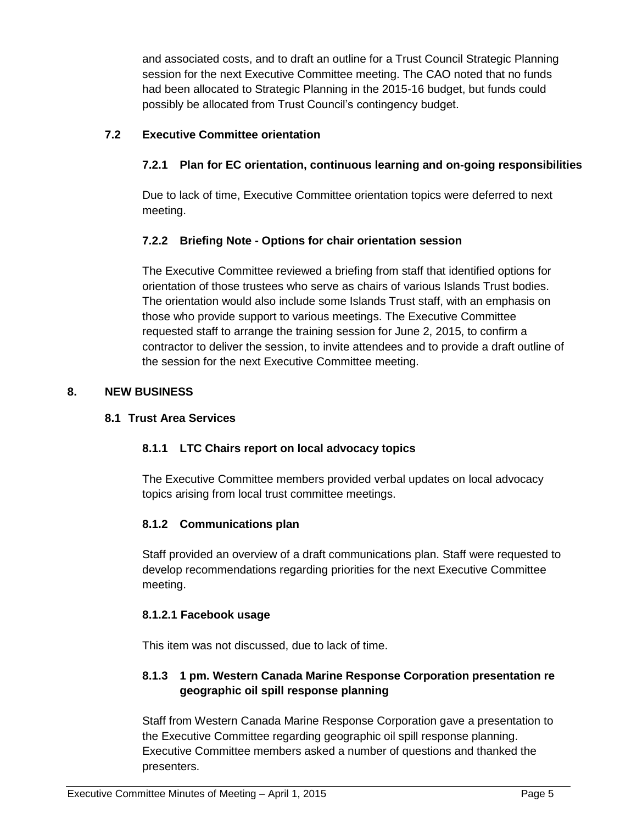and associated costs, and to draft an outline for a Trust Council Strategic Planning session for the next Executive Committee meeting. The CAO noted that no funds had been allocated to Strategic Planning in the 2015-16 budget, but funds could possibly be allocated from Trust Council's contingency budget.

# **7.2 Executive Committee orientation**

# **7.2.1 Plan for EC orientation, continuous learning and on-going responsibilities**

Due to lack of time, Executive Committee orientation topics were deferred to next meeting.

## **7.2.2 Briefing Note - Options for chair orientation session**

The Executive Committee reviewed a briefing from staff that identified options for orientation of those trustees who serve as chairs of various Islands Trust bodies. The orientation would also include some Islands Trust staff, with an emphasis on those who provide support to various meetings. The Executive Committee requested staff to arrange the training session for June 2, 2015, to confirm a contractor to deliver the session, to invite attendees and to provide a draft outline of the session for the next Executive Committee meeting.

## **8. NEW BUSINESS**

### **8.1 Trust Area Services**

## **8.1.1 LTC Chairs report on local advocacy topics**

The Executive Committee members provided verbal updates on local advocacy topics arising from local trust committee meetings.

## **8.1.2 Communications plan**

Staff provided an overview of a draft communications plan. Staff were requested to develop recommendations regarding priorities for the next Executive Committee meeting.

### **8.1.2.1 Facebook usage**

This item was not discussed, due to lack of time.

## **8.1.3 1 pm. Western Canada Marine Response Corporation presentation re geographic oil spill response planning**

Staff from Western Canada Marine Response Corporation gave a presentation to the Executive Committee regarding geographic oil spill response planning. Executive Committee members asked a number of questions and thanked the presenters.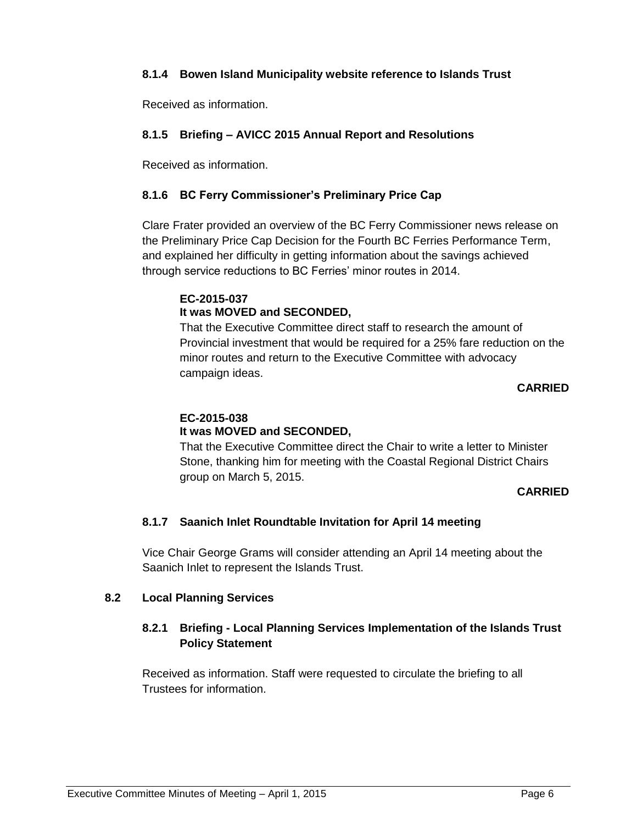## **8.1.4 Bowen Island Municipality website reference to Islands Trust**

Received as information.

# **8.1.5 Briefing – AVICC 2015 Annual Report and Resolutions**

Received as information.

## **8.1.6 BC Ferry Commissioner's Preliminary Price Cap**

Clare Frater provided an overview of the BC Ferry Commissioner news release on the Preliminary Price Cap Decision for the Fourth BC Ferries Performance Term, and explained her difficulty in getting information about the savings achieved through service reductions to BC Ferries' minor routes in 2014.

## **EC-2015-037 It was MOVED and SECONDED,**

That the Executive Committee direct staff to research the amount of Provincial investment that would be required for a 25% fare reduction on the minor routes and return to the Executive Committee with advocacy campaign ideas.

## **CARRIED**

## **EC-2015-038 It was MOVED and SECONDED,**

That the Executive Committee direct the Chair to write a letter to Minister Stone, thanking him for meeting with the Coastal Regional District Chairs group on March 5, 2015.

## **CARRIED**

## **8.1.7 Saanich Inlet Roundtable Invitation for April 14 meeting**

Vice Chair George Grams will consider attending an April 14 meeting about the Saanich Inlet to represent the Islands Trust.

## **8.2 Local Planning Services**

# **8.2.1 Briefing - Local Planning Services Implementation of the Islands Trust Policy Statement**

Received as information. Staff were requested to circulate the briefing to all Trustees for information.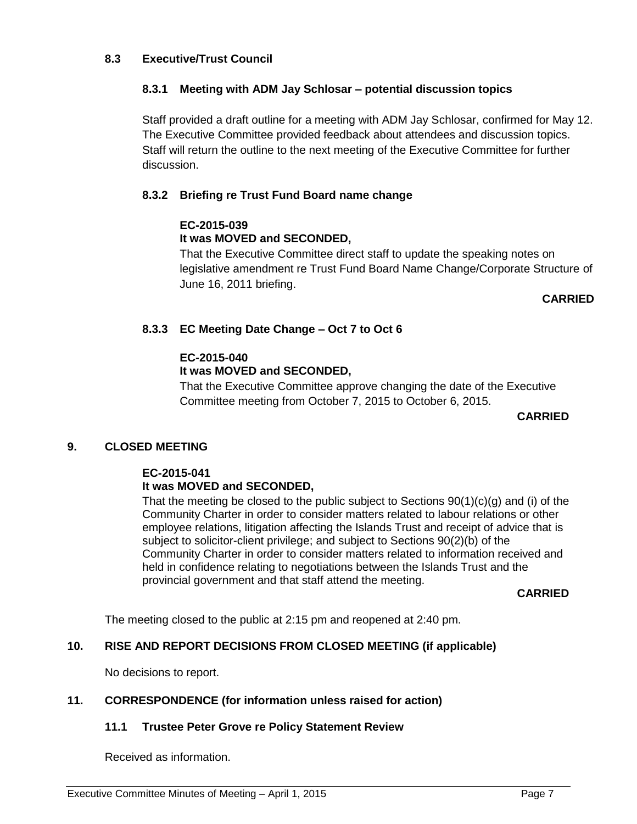### **8.3 Executive/Trust Council**

## **8.3.1 Meeting with ADM Jay Schlosar – potential discussion topics**

Staff provided a draft outline for a meeting with ADM Jay Schlosar, confirmed for May 12. The Executive Committee provided feedback about attendees and discussion topics. Staff will return the outline to the next meeting of the Executive Committee for further discussion.

## **8.3.2 Briefing re Trust Fund Board name change**

## **EC-2015-039**

## **It was MOVED and SECONDED,**

That the Executive Committee direct staff to update the speaking notes on legislative amendment re Trust Fund Board Name Change/Corporate Structure of June 16, 2011 briefing.

#### **CARRIED**

## **8.3.3 EC Meeting Date Change – Oct 7 to Oct 6**

## **EC-2015-040**

## **It was MOVED and SECONDED,**

That the Executive Committee approve changing the date of the Executive Committee meeting from October 7, 2015 to October 6, 2015.

#### **CARRIED**

## **9. CLOSED MEETING**

#### **EC-2015-041 It was MOVED and SECONDED,**

That the meeting be closed to the public subject to Sections  $90(1)(c)(g)$  and (i) of the Community Charter in order to consider matters related to labour relations or other employee relations, litigation affecting the Islands Trust and receipt of advice that is subject to solicitor-client privilege; and subject to Sections 90(2)(b) of the Community Charter in order to consider matters related to information received and held in confidence relating to negotiations between the Islands Trust and the provincial government and that staff attend the meeting.

#### **CARRIED**

The meeting closed to the public at 2:15 pm and reopened at 2:40 pm.

### **10. RISE AND REPORT DECISIONS FROM CLOSED MEETING (if applicable)**

No decisions to report.

### **11. CORRESPONDENCE (for information unless raised for action)**

### **11.1 Trustee Peter Grove re Policy Statement Review**

Received as information.